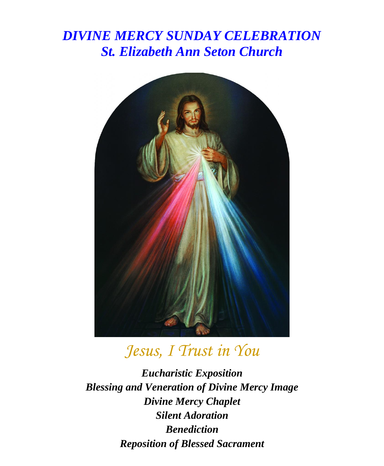## *DIVINE MERCY SUNDAY CELEBRATION St. Elizabeth Ann Seton Church*



## *Jesus, I Trust in You*

*Eucharistic Exposition Blessing and Veneration of Divine Mercy Image Divine Mercy Chaplet Silent Adoration Benediction Reposition of Blessed Sacrament*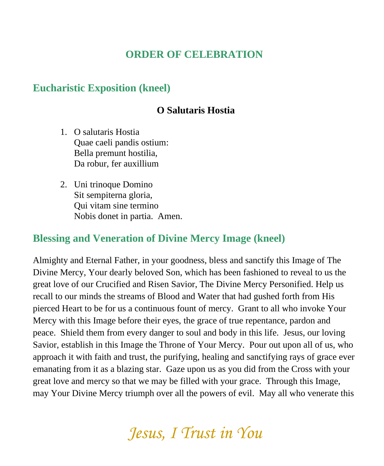## **ORDER OF CELEBRATION**

### **Eucharistic Exposition (kneel)**

#### **O Salutaris Hostia**

- 1. O salutaris Hostia Quae caeli pandis ostium: Bella premunt hostilia, Da robur, fer auxillium
- 2. Uni trinoque Domino Sit sempiterna gloria, Qui vitam sine termino Nobis donet in partia. Amen.

#### **Blessing and Veneration of Divine Mercy Image (kneel)**

Almighty and Eternal Father, in your goodness, bless and sanctify this Image of The Divine Mercy, Your dearly beloved Son, which has been fashioned to reveal to us the great love of our Crucified and Risen Savior, The Divine Mercy Personified. Help us recall to our minds the streams of Blood and Water that had gushed forth from His pierced Heart to be for us a continuous fount of mercy. Grant to all who invoke Your Mercy with this Image before their eyes, the grace of true repentance, pardon and peace. Shield them from every danger to soul and body in this life. Jesus, our loving Savior, establish in this Image the Throne of Your Mercy. Pour out upon all of us, who approach it with faith and trust, the purifying, healing and sanctifying rays of grace ever emanating from it as a blazing star. Gaze upon us as you did from the Cross with your great love and mercy so that we may be filled with your grace. Through this Image, may Your Divine Mercy triumph over all the powers of evil. May all who venerate this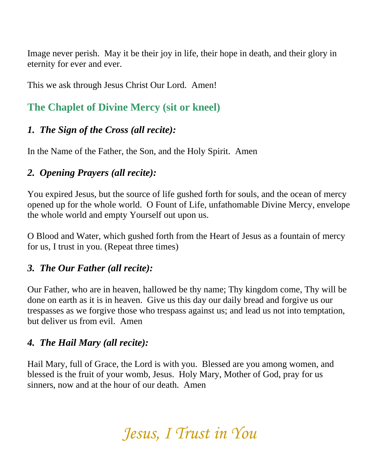Image never perish. May it be their joy in life, their hope in death, and their glory in eternity for ever and ever.

This we ask through Jesus Christ Our Lord. Amen!

## **The Chaplet of Divine Mercy (sit or kneel)**

## *1. The Sign of the Cross (all recite):*

In the Name of the Father, the Son, and the Holy Spirit. Amen

## *2. Opening Prayers (all recite):*

You expired Jesus, but the source of life gushed forth for souls, and the ocean of mercy opened up for the whole world. O Fount of Life, unfathomable Divine Mercy, envelope the whole world and empty Yourself out upon us.

O Blood and Water, which gushed forth from the Heart of Jesus as a fountain of mercy for us, I trust in you. (Repeat three times)

### *3. The Our Father (all recite):*

Our Father, who are in heaven, hallowed be thy name; Thy kingdom come, Thy will be done on earth as it is in heaven. Give us this day our daily bread and forgive us our trespasses as we forgive those who trespass against us; and lead us not into temptation, but deliver us from evil. Amen

## *4. The Hail Mary (all recite):*

Hail Mary, full of Grace, the Lord is with you. Blessed are you among women, and blessed is the fruit of your womb, Jesus. Holy Mary, Mother of God, pray for us sinners, now and at the hour of our death. Amen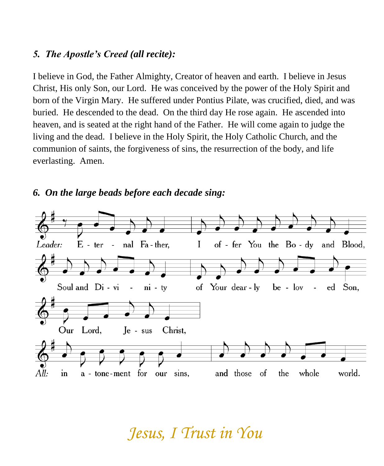#### *5. The Apostle's Creed (all recite):*

I believe in God, the Father Almighty, Creator of heaven and earth. I believe in Jesus Christ, His only Son, our Lord. He was conceived by the power of the Holy Spirit and born of the Virgin Mary. He suffered under Pontius Pilate, was crucified, died, and was buried. He descended to the dead. On the third day He rose again. He ascended into heaven, and is seated at the right hand of the Father. He will come again to judge the living and the dead. I believe in the Holy Spirit, the Holy Catholic Church, and the communion of saints, the forgiveness of sins, the resurrection of the body, and life everlasting. Amen.

#### *6. On the large beads before each decade sing:*

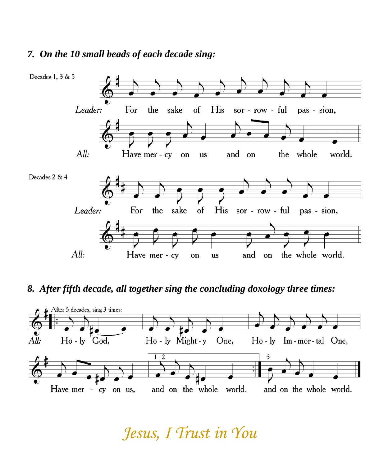#### *7. On the 10 small beads of each decade sing:*



#### *8. After fifth decade, all together sing the concluding doxology three times:*

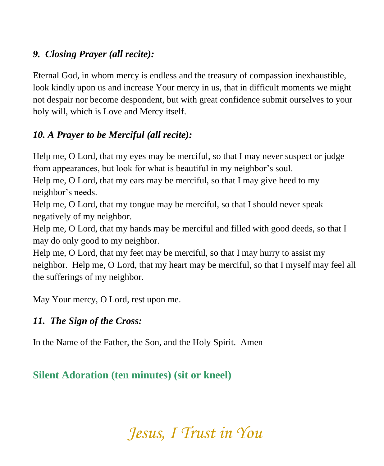## *9. Closing Prayer (all recite):*

Eternal God, in whom mercy is endless and the treasury of compassion inexhaustible, look kindly upon us and increase Your mercy in us, that in difficult moments we might not despair nor become despondent, but with great confidence submit ourselves to your holy will, which is Love and Mercy itself.

## *10. A Prayer to be Merciful (all recite):*

Help me, O Lord, that my eyes may be merciful, so that I may never suspect or judge from appearances, but look for what is beautiful in my neighbor's soul.

Help me, O Lord, that my ears may be merciful, so that I may give heed to my neighbor's needs.

Help me, O Lord, that my tongue may be merciful, so that I should never speak negatively of my neighbor.

Help me, O Lord, that my hands may be merciful and filled with good deeds, so that I may do only good to my neighbor.

Help me, O Lord, that my feet may be merciful, so that I may hurry to assist my neighbor. Help me, O Lord, that my heart may be merciful, so that I myself may feel all the sufferings of my neighbor.

May Your mercy, O Lord, rest upon me.

## *11. The Sign of the Cross:*

In the Name of the Father, the Son, and the Holy Spirit. Amen

## **Silent Adoration (ten minutes) (sit or kneel)**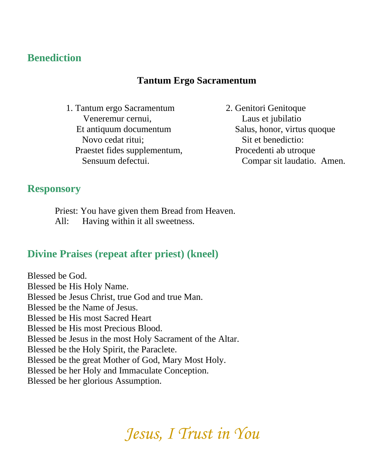## **Benediction**

#### **Tantum Ergo Sacramentum**

- 1. Tantum ergo Sacramentum Veneremur cernui, Et antiquum documentum Novo cedat ritui; Praestet fides supplementum, Sensuum defectui.
- 2. Genitori Genitoque Laus et jubilatio Salus, honor, virtus quoque Sit et benedictio: Procedenti ab utroque Compar sit laudatio. Amen.

#### **Responsory**

Priest: You have given them Bread from Heaven. All: Having within it all sweetness.

### **Divine Praises (repeat after priest) (kneel)**

Blessed be God. Blessed be His Holy Name. Blessed be Jesus Christ, true God and true Man. Blessed be the Name of Jesus. Blessed be His most Sacred Heart Blessed be His most Precious Blood. Blessed be Jesus in the most Holy Sacrament of the Altar. Blessed be the Holy Spirit, the Paraclete. Blessed be the great Mother of God, Mary Most Holy. Blessed be her Holy and Immaculate Conception. Blessed be her glorious Assumption.